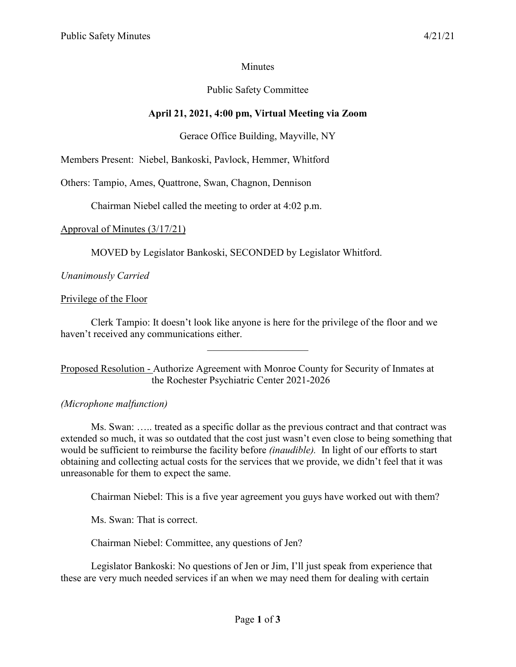## **Minutes**

## Public Safety Committee

## **April 21, 2021, 4:00 pm, Virtual Meeting via Zoom**

## Gerace Office Building, Mayville, NY

Members Present: Niebel, Bankoski, Pavlock, Hemmer, Whitford

Others: Tampio, Ames, Quattrone, Swan, Chagnon, Dennison

Chairman Niebel called the meeting to order at 4:02 p.m.

## Approval of Minutes (3/17/21)

MOVED by Legislator Bankoski, SECONDED by Legislator Whitford.

## *Unanimously Carried*

#### Privilege of the Floor

Clerk Tampio: It doesn't look like anyone is here for the privilege of the floor and we haven't received any communications either.

 $\mathcal{L}$  , we have the set of the set of the set of the set of the set of the set of the set of the set of the set of the set of the set of the set of the set of the set of the set of the set of the set of the set of the

Proposed Resolution - Authorize Agreement with Monroe County for Security of Inmates at the Rochester Psychiatric Center 2021-2026

#### *(Microphone malfunction)*

Ms. Swan: ….. treated as a specific dollar as the previous contract and that contract was extended so much, it was so outdated that the cost just wasn't even close to being something that would be sufficient to reimburse the facility before *(inaudible).* In light of our efforts to start obtaining and collecting actual costs for the services that we provide, we didn't feel that it was unreasonable for them to expect the same.

Chairman Niebel: This is a five year agreement you guys have worked out with them?

Ms. Swan: That is correct.

Chairman Niebel: Committee, any questions of Jen?

Legislator Bankoski: No questions of Jen or Jim, I'll just speak from experience that these are very much needed services if an when we may need them for dealing with certain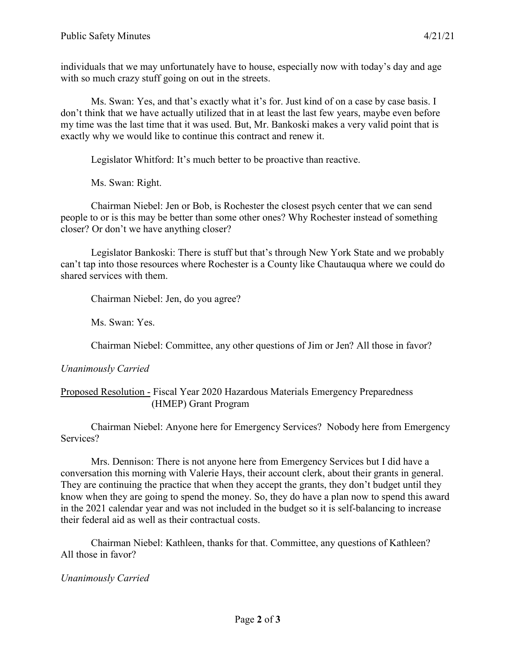individuals that we may unfortunately have to house, especially now with today's day and age with so much crazy stuff going on out in the streets.

Ms. Swan: Yes, and that's exactly what it's for. Just kind of on a case by case basis. I don't think that we have actually utilized that in at least the last few years, maybe even before my time was the last time that it was used. But, Mr. Bankoski makes a very valid point that is exactly why we would like to continue this contract and renew it.

Legislator Whitford: It's much better to be proactive than reactive.

Ms. Swan: Right.

Chairman Niebel: Jen or Bob, is Rochester the closest psych center that we can send people to or is this may be better than some other ones? Why Rochester instead of something closer? Or don't we have anything closer?

Legislator Bankoski: There is stuff but that's through New York State and we probably can't tap into those resources where Rochester is a County like Chautauqua where we could do shared services with them.

Chairman Niebel: Jen, do you agree?

Ms. Swan: Yes.

Chairman Niebel: Committee, any other questions of Jim or Jen? All those in favor?

# *Unanimously Carried*

Proposed Resolution - Fiscal Year 2020 Hazardous Materials Emergency Preparedness (HMEP) Grant Program

Chairman Niebel: Anyone here for Emergency Services? Nobody here from Emergency Services?

Mrs. Dennison: There is not anyone here from Emergency Services but I did have a conversation this morning with Valerie Hays, their account clerk, about their grants in general. They are continuing the practice that when they accept the grants, they don't budget until they know when they are going to spend the money. So, they do have a plan now to spend this award in the 2021 calendar year and was not included in the budget so it is self-balancing to increase their federal aid as well as their contractual costs.

Chairman Niebel: Kathleen, thanks for that. Committee, any questions of Kathleen? All those in favor?

# *Unanimously Carried*